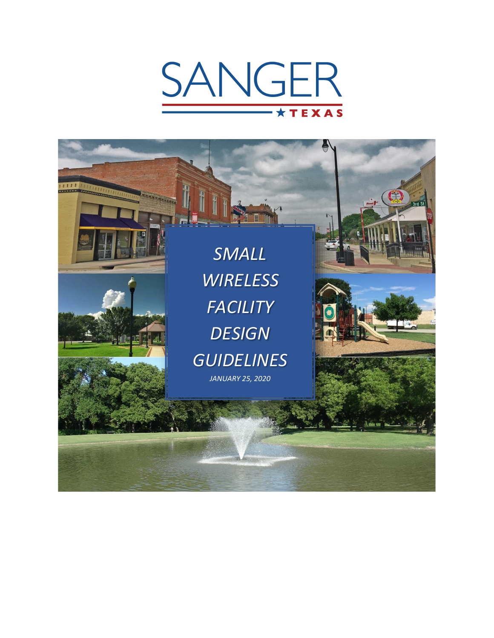# SANGER **TEXAS**

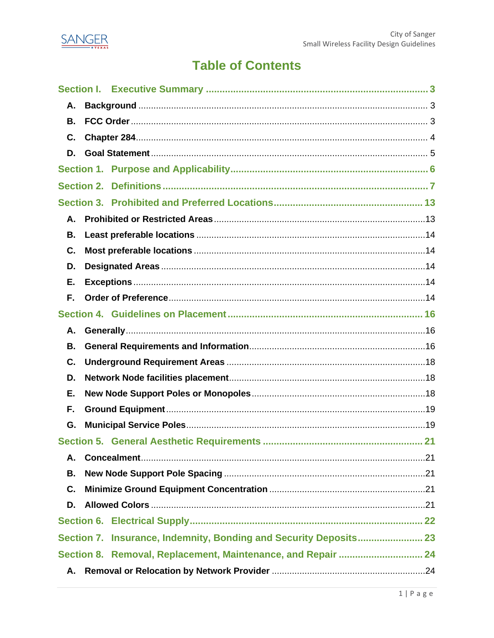

# **Table of Contents**

| Α.<br>В.                                                     |  |  |  |  |  |
|--------------------------------------------------------------|--|--|--|--|--|
|                                                              |  |  |  |  |  |
|                                                              |  |  |  |  |  |
| C.                                                           |  |  |  |  |  |
| D.                                                           |  |  |  |  |  |
|                                                              |  |  |  |  |  |
| <b>Section 2.</b>                                            |  |  |  |  |  |
| <b>Section 3.</b>                                            |  |  |  |  |  |
| А.                                                           |  |  |  |  |  |
| В.                                                           |  |  |  |  |  |
| C.                                                           |  |  |  |  |  |
| D.                                                           |  |  |  |  |  |
| Е.                                                           |  |  |  |  |  |
| F.                                                           |  |  |  |  |  |
|                                                              |  |  |  |  |  |
| А.                                                           |  |  |  |  |  |
| <b>B.</b>                                                    |  |  |  |  |  |
| C.                                                           |  |  |  |  |  |
| D.                                                           |  |  |  |  |  |
| Е.                                                           |  |  |  |  |  |
| F.                                                           |  |  |  |  |  |
| G.                                                           |  |  |  |  |  |
|                                                              |  |  |  |  |  |
| А.                                                           |  |  |  |  |  |
| В.                                                           |  |  |  |  |  |
| C.                                                           |  |  |  |  |  |
|                                                              |  |  |  |  |  |
| D.                                                           |  |  |  |  |  |
|                                                              |  |  |  |  |  |
|                                                              |  |  |  |  |  |
| Section 8. Removal, Replacement, Maintenance, and Repair  24 |  |  |  |  |  |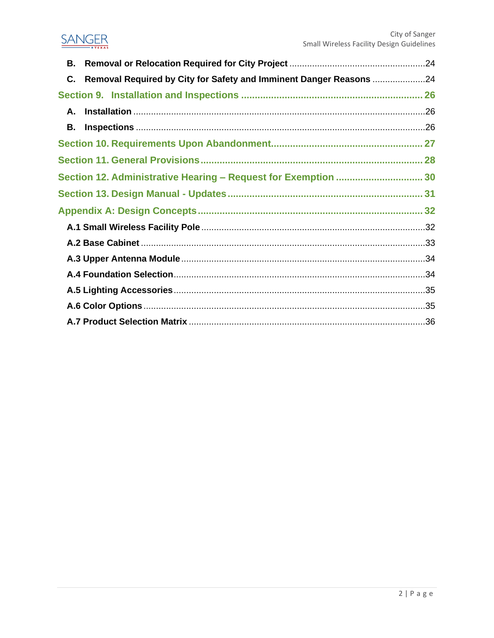## **SANGER**

| В. |                                                                       |  |  |  |
|----|-----------------------------------------------------------------------|--|--|--|
|    | C. Removal Required by City for Safety and Imminent Danger Reasons 24 |  |  |  |
|    |                                                                       |  |  |  |
| А. |                                                                       |  |  |  |
| В. |                                                                       |  |  |  |
|    |                                                                       |  |  |  |
|    |                                                                       |  |  |  |
|    | Section 12. Administrative Hearing - Request for Exemption  30        |  |  |  |
|    |                                                                       |  |  |  |
|    |                                                                       |  |  |  |
|    |                                                                       |  |  |  |
|    |                                                                       |  |  |  |
|    |                                                                       |  |  |  |
|    |                                                                       |  |  |  |
|    |                                                                       |  |  |  |
|    |                                                                       |  |  |  |
|    |                                                                       |  |  |  |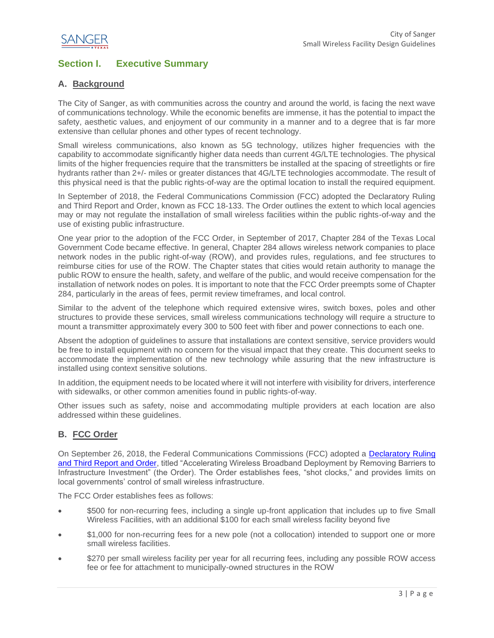

## <span id="page-3-0"></span>**Section I. Executive Summary**

### <span id="page-3-1"></span>**A. Background**

The City of Sanger, as with communities across the country and around the world, is facing the next wave of communications technology. While the economic benefits are immense, it has the potential to impact the safety, aesthetic values, and enjoyment of our community in a manner and to a degree that is far more extensive than cellular phones and other types of recent technology.

Small wireless communications, also known as 5G technology, utilizes higher frequencies with the capability to accommodate significantly higher data needs than current 4G/LTE technologies. The physical limits of the higher frequencies require that the transmitters be installed at the spacing of streetlights or fire hydrants rather than 2+/- miles or greater distances that 4G/LTE technologies accommodate. The result of this physical need is that the public rights-of-way are the optimal location to install the required equipment.

In September of 2018, the Federal Communications Commission (FCC) adopted the Declaratory Ruling and Third Report and Order, known as FCC 18-133. The Order outlines the extent to which local agencies may or may not regulate the installation of small wireless facilities within the public rights-of-way and the use of existing public infrastructure.

One year prior to the adoption of the FCC Order, in September of 2017, Chapter 284 of the Texas Local Government Code became effective. In general, Chapter 284 allows wireless network companies to place network nodes in the public right-of-way (ROW), and provides rules, regulations, and fee structures to reimburse cities for use of the ROW. The Chapter states that cities would retain authority to manage the public ROW to ensure the health, safety, and welfare of the public, and would receive compensation for the installation of network nodes on poles. It is important to note that the FCC Order preempts some of Chapter 284, particularly in the areas of fees, permit review timeframes, and local control.

Similar to the advent of the telephone which required extensive wires, switch boxes, poles and other structures to provide these services, small wireless communications technology will require a structure to mount a transmitter approximately every 300 to 500 feet with fiber and power connections to each one.

Absent the adoption of guidelines to assure that installations are context sensitive, service providers would be free to install equipment with no concern for the visual impact that they create. This document seeks to accommodate the implementation of the new technology while assuring that the new infrastructure is installed using context sensitive solutions.

In addition, the equipment needs to be located where it will not interfere with visibility for drivers, interference with sidewalks, or other common amenities found in public rights-of-way.

Other issues such as safety, noise and accommodating multiple providers at each location are also addressed within these guidelines.

#### <span id="page-3-2"></span>**B. FCC Order**

On September 26, 2018, the Federal Communications Commissions (FCC) adopted a [Declaratory Ruling](https://docs.fcc.gov/public/attachments/FCC-18-133A1.pdf)  [and Third Report and Order,](https://docs.fcc.gov/public/attachments/FCC-18-133A1.pdf) titled "Accelerating Wireless Broadband Deployment by Removing Barriers to Infrastructure Investment" (the Order). The Order establishes fees, "shot clocks," and provides limits on local governments' control of small wireless infrastructure.

The FCC Order establishes fees as follows:

- \$500 for non-recurring fees, including a single up-front application that includes up to five Small Wireless Facilities, with an additional \$100 for each small wireless facility beyond five
- \$1,000 for non-recurring fees for a new pole (not a collocation) intended to support one or more small wireless facilities.
- \$270 per small wireless facility per year for all recurring fees, including any possible ROW access fee or fee for attachment to municipally-owned structures in the ROW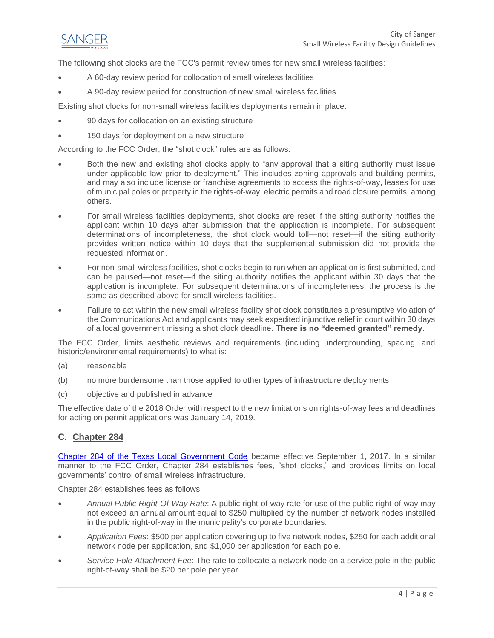

The following shot clocks are the FCC's permit review times for new small wireless facilities:

- A 60-day review period for collocation of small wireless facilities
- A 90-day review period for construction of new small wireless facilities

Existing shot clocks for non-small wireless facilities deployments remain in place:

- 90 days for collocation on an existing structure
- 150 days for deployment on a new structure

According to the FCC Order, the "shot clock" rules are as follows:

- Both the new and existing shot clocks apply to "any approval that a siting authority must issue under applicable law prior to deployment." This includes zoning approvals and building permits, and may also include license or franchise agreements to access the rights-of-way, leases for use of municipal poles or property in the rights-of-way, electric permits and road closure permits, among others.
- For small wireless facilities deployments, shot clocks are reset if the siting authority notifies the applicant within 10 days after submission that the application is incomplete. For subsequent determinations of incompleteness, the shot clock would toll—not reset—if the siting authority provides written notice within 10 days that the supplemental submission did not provide the requested information.
- For non-small wireless facilities, shot clocks begin to run when an application is first submitted, and can be paused—not reset—if the siting authority notifies the applicant within 30 days that the application is incomplete. For subsequent determinations of incompleteness, the process is the same as described above for small wireless facilities.
- Failure to act within the new small wireless facility shot clock constitutes a presumptive violation of the Communications Act and applicants may seek expedited injunctive relief in court within 30 days of a local government missing a shot clock deadline. **There is no "deemed granted" remedy.**

The FCC Order, limits aesthetic reviews and requirements (including undergrounding, spacing, and historic/environmental requirements) to what is:

- (a) reasonable
- (b) no more burdensome than those applied to other types of infrastructure deployments
- (c) objective and published in advance

The effective date of the 2018 Order with respect to the new limitations on rights-of-way fees and deadlines for acting on permit applications was January 14, 2019.

#### <span id="page-4-0"></span>**C. Chapter 284**

[Chapter 284 of the Texas Local Government Code](https://statutes.capitol.texas.gov/Docs/LG/pdf/LG.284.pdf) became effective September 1, 2017. In a similar manner to the FCC Order, Chapter 284 establishes fees, "shot clocks," and provides limits on local governments' control of small wireless infrastructure.

Chapter 284 establishes fees as follows:

- *Annual Public Right-Of-Way Rate*: A public right-of-way rate for use of the public right-of-way may not exceed an annual amount equal to \$250 multiplied by the number of network nodes installed in the public right-of-way in the municipality's corporate boundaries.
- *Application Fees*: \$500 per application covering up to five network nodes, \$250 for each additional network node per application, and \$1,000 per application for each pole.
- *Service Pole Attachment Fee*: The rate to collocate a network node on a service pole in the public right-of-way shall be \$20 per pole per year.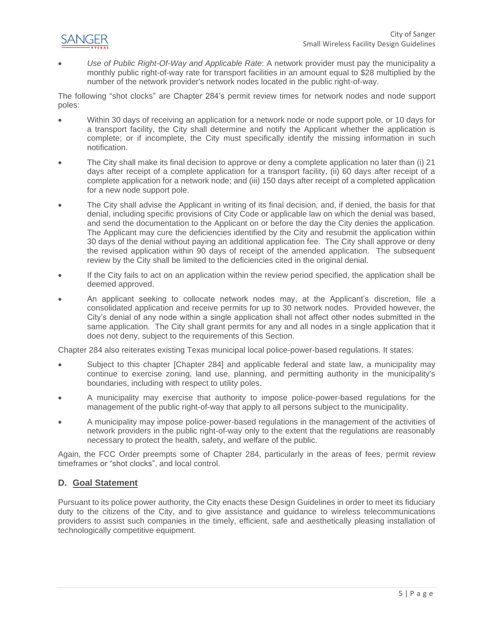

• *Use of Public Right-Of-Way and Applicable Rate*: A network provider must pay the municipality a monthly public right-of-way rate for transport facilities in an amount equal to \$28 multiplied by the number of the network provider's network nodes located in the public right-of-way.

The following "shot clocks" are Chapter 284's permit review times for network nodes and node support poles:

- Within 30 days of receiving an application for a network node or node support pole, or 10 days for a transport facility, the City shall determine and notify the Applicant whether the application is complete; or if incomplete, the City must specifically identify the missing information in such notification.
- The City shall make its final decision to approve or deny a complete application no later than (i) 21 days after receipt of a complete application for a transport facility, (ii) 60 days after receipt of a complete application for a network node; and (iii) 150 days after receipt of a completed application for a new node support pole.
- The City shall advise the Applicant in writing of its final decision, and, if denied, the basis for that denial, including specific provisions of City Code or applicable law on which the denial was based, and send the documentation to the Applicant on or before the day the City denies the application. The Applicant may cure the deficiencies identified by the City and resubmit the application within 30 days of the denial without paying an additional application fee. The City shall approve or deny the revised application within 90 days of receipt of the amended application. The subsequent review by the City shall be limited to the deficiencies cited in the original denial.
- If the City fails to act on an application within the review period specified, the application shall be deemed approved.
- An applicant seeking to collocate network nodes may, at the Applicant's discretion, file a consolidated application and receive permits for up to 30 network nodes. Provided however, the City's denial of any node within a single application shall not affect other nodes submitted in the same application. The City shall grant permits for any and all nodes in a single application that it does not deny, subject to the requirements of this Section.

Chapter 284 also reiterates existing Texas municipal local police-power-based regulations. It states:

- Subject to this chapter [Chapter 284] and applicable federal and state law, a municipality may continue to exercise zoning, land use, planning, and permitting authority in the municipality's boundaries, including with respect to utility poles.
- A municipality may exercise that authority to impose police-power-based regulations for the management of the public right-of-way that apply to all persons subject to the municipality.
- A municipality may impose police-power-based regulations in the management of the activities of network providers in the public right-of-way only to the extent that the regulations are reasonably necessary to protect the health, safety, and welfare of the public.

Again, the FCC Order preempts some of Chapter 284, particularly in the areas of fees, permit review timeframes or "shot clocks", and local control.

#### <span id="page-5-0"></span>**D. Goal Statement**

Pursuant to its police power authority, the City enacts these Design Guidelines in order to meet its fiduciary duty to the citizens of the City, and to give assistance and guidance to wireless telecommunications providers to assist such companies in the timely, efficient, safe and aesthetically pleasing installation of technologically competitive equipment.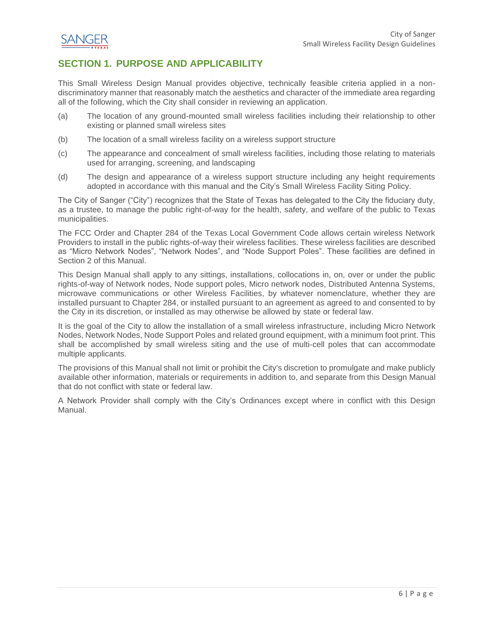

## <span id="page-6-0"></span>**SECTION 1. PURPOSE AND APPLICABILITY**

This Small Wireless Design Manual provides objective, technically feasible criteria applied in a nondiscriminatory manner that reasonably match the aesthetics and character of the immediate area regarding all of the following, which the City shall consider in reviewing an application.

- (a) The location of any ground-mounted small wireless facilities including their relationship to other existing or planned small wireless sites
- (b) The location of a small wireless facility on a wireless support structure
- (c) The appearance and concealment of small wireless facilities, including those relating to materials used for arranging, screening, and landscaping
- (d) The design and appearance of a wireless support structure including any height requirements adopted in accordance with this manual and the City's Small Wireless Facility Siting Policy.

The City of Sanger ("City") recognizes that the State of Texas has delegated to the City the fiduciary duty, as a trustee, to manage the public right-of-way for the health, safety, and welfare of the public to Texas municipalities.

The FCC Order and Chapter 284 of the Texas Local Government Code allows certain wireless Network Providers to install in the public rights-of-way their wireless facilities. These wireless facilities are described as "Micro Network Nodes", "Network Nodes", and "Node Support Poles". These facilities are defined in Section 2 of this Manual.

This Design Manual shall apply to any sittings, installations, collocations in, on, over or under the public rights-of-way of Network nodes, Node support poles, Micro network nodes, Distributed Antenna Systems, microwave communications or other Wireless Facilities, by whatever nomenclature, whether they are installed pursuant to Chapter 284, or installed pursuant to an agreement as agreed to and consented to by the City in its discretion, or installed as may otherwise be allowed by state or federal law.

It is the goal of the City to allow the installation of a small wireless infrastructure, including Micro Network Nodes, Network Nodes, Node Support Poles and related ground equipment, with a minimum foot print. This shall be accomplished by small wireless siting and the use of multi-cell poles that can accommodate multiple applicants.

The provisions of this Manual shall not limit or prohibit the City's discretion to promulgate and make publicly available other information, materials or requirements in addition to, and separate from this Design Manual that do not conflict with state or federal law.

A Network Provider shall comply with the City's Ordinances except where in conflict with this Design Manual.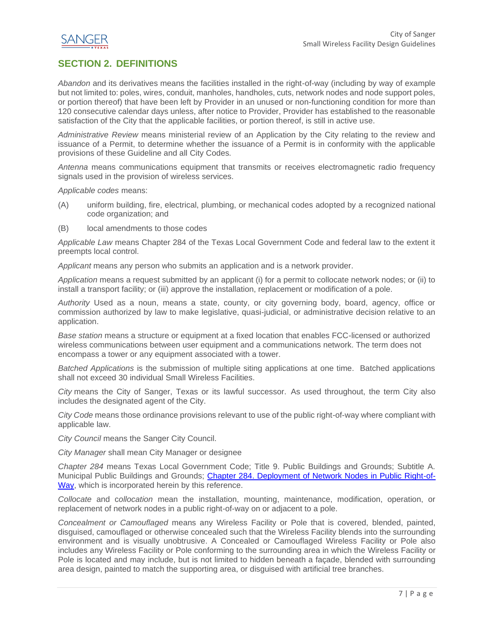

## <span id="page-7-0"></span>**SECTION 2. DEFINITIONS**

*Abandon* and its derivatives means the facilities installed in the right-of-way (including by way of example but not limited to: poles, wires, conduit, manholes, handholes, cuts, network nodes and node support poles, or portion thereof) that have been left by Provider in an unused or non-functioning condition for more than 120 consecutive calendar days unless, after notice to Provider, Provider has established to the reasonable satisfaction of the City that the applicable facilities, or portion thereof, is still in active use.

*Administrative Review* means ministerial review of an Application by the City relating to the review and issuance of a Permit, to determine whether the issuance of a Permit is in conformity with the applicable provisions of these Guideline and all City Codes*.*

*Antenna* means communications equipment that transmits or receives electromagnetic radio frequency signals used in the provision of wireless services.

*Applicable codes* means:

- (A) uniform building, fire, electrical, plumbing, or mechanical codes adopted by a recognized national code organization; and
- (B) local amendments to those codes

*Applicable Law* means Chapter 284 of the Texas Local Government Code and federal law to the extent it preempts local control.

*Applicant* means any person who submits an application and is a network provider.

*Application* means a request submitted by an applicant (i) for a permit to collocate network nodes; or (ii) to install a transport facility; or (iii) approve the installation, replacement or modification of a pole.

*Authority* Used as a noun, means a state, county, or city governing body, board, agency, office or commission authorized by law to make legislative, quasi-judicial, or administrative decision relative to an application.

*Base station* means a structure or equipment at a fixed location that enables FCC-licensed or authorized wireless communications between user equipment and a communications network. The term does not encompass a tower or any equipment associated with a tower.

*Batched Applications* is the submission of multiple siting applications at one time. Batched applications shall not exceed 30 individual Small Wireless Facilities.

*City* means the City of Sanger, Texas or its lawful successor. As used throughout, the term City also includes the designated agent of the City.

*City Code* means those ordinance provisions relevant to use of the public right-of-way where compliant with applicable law.

*City Council* means the Sanger City Council.

*City Manager* shall mean City Manager or designee

*Chapter 284* means Texas Local Government Code; Title 9. Public Buildings and Grounds; Subtitle A. Municipal Public Buildings and Grounds; [Chapter 284. Deployment of Network Nodes in Public Right-of-](https://statutes.capitol.texas.gov/Docs/LG/pdf/LG.284.pdf)[Way,](https://statutes.capitol.texas.gov/Docs/LG/pdf/LG.284.pdf) which is incorporated herein by this reference.

*Collocate* and c*ollocation* mean the installation, mounting, maintenance, modification, operation, or replacement of network nodes in a public right-of-way on or adjacent to a pole.

*Concealment or Camouflaged* means any Wireless Facility or Pole that is covered, blended, painted, disguised, camouflaged or otherwise concealed such that the Wireless Facility blends into the surrounding environment and is visually unobtrusive. A Concealed or Camouflaged Wireless Facility or Pole also includes any Wireless Facility or Pole conforming to the surrounding area in which the Wireless Facility or Pole is located and may include, but is not limited to hidden beneath a façade, blended with surrounding area design, painted to match the supporting area, or disguised with artificial tree branches.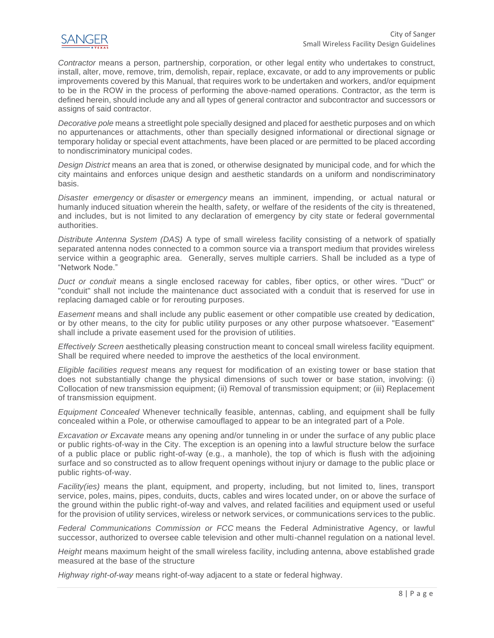

*Contractor* means a person, partnership, corporation, or other legal entity who undertakes to construct, install, alter, move, remove, trim, demolish, repair, replace, excavate, or add to any improvements or public improvements covered by this Manual, that requires work to be undertaken and workers, and/or equipment to be in the ROW in the process of performing the above-named operations. Contractor, as the term is defined herein, should include any and all types of general contractor and subcontractor and successors or assigns of said contractor.

*Decorative pole* means a streetlight pole specially designed and placed for aesthetic purposes and on which no appurtenances or attachments, other than specially designed informational or directional signage or temporary holiday or special event attachments, have been placed or are permitted to be placed according to nondiscriminatory municipal codes.

*Design District* means an area that is zoned, or otherwise designated by municipal code, and for which the city maintains and enforces unique design and aesthetic standards on a uniform and nondiscriminatory basis.

*Disaster emergency* or *disaster* or *emergency* means an imminent, impending, or actual natural or humanly induced situation wherein the health, safety, or welfare of the residents of the city is threatened, and includes, but is not limited to any declaration of emergency by city state or federal governmental authorities.

*Distribute Antenna System (DAS)* A type of small wireless facility consisting of a network of spatially separated antenna nodes connected to a common source via a transport medium that provides wireless service within a geographic area. Generally, serves multiple carriers. Shall be included as a type of "Network Node."

*Duct or conduit* means a single enclosed raceway for cables, fiber optics, or other wires. "Duct" or "conduit" shall not include the maintenance duct associated with a conduit that is reserved for use in replacing damaged cable or for rerouting purposes.

*Easement* means and shall include any public easement or other compatible use created by dedication, or by other means, to the city for public utility purposes or any other purpose whatsoever. "Easement" shall include a private easement used for the provision of utilities.

*Effectively Screen* aesthetically pleasing construction meant to conceal small wireless facility equipment. Shall be required where needed to improve the aesthetics of the local environment.

*Eligible facilities request* means any request for modification of an existing tower or base station that does not substantially change the physical dimensions of such tower or base station, involving: (i) Collocation of new transmission equipment; (ii) Removal of transmission equipment; or (iii) Replacement of transmission equipment.

*Equipment Concealed* Whenever technically feasible, antennas, cabling, and equipment shall be fully concealed within a Pole, or otherwise camouflaged to appear to be an integrated part of a Pole.

*Excavation or Excavate* means any opening and/or tunneling in or under the surface of any public place or public rights-of-way in the City. The exception is an opening into a lawful structure below the surface of a public place or public right-of-way (e.g., a manhole), the top of which is flush with the adjoining surface and so constructed as to allow frequent openings without injury or damage to the public place or public rights-of-way.

*Facility(ies)* means the plant, equipment, and property, including, but not limited to, lines, transport service, poles, mains, pipes, conduits, ducts, cables and wires located under, on or above the surface of the ground within the public right-of-way and valves, and related facilities and equipment used or useful for the provision of utility services, wireless or network services, or communications services to the public.

*Federal Communications Commission or FCC* means the Federal Administrative Agency, or lawful successor, authorized to oversee cable television and other multi-channel regulation on a national level.

*Height* means maximum height of the small wireless facility, including antenna, above established grade measured at the base of the structure

*Highway right-of-way* means right-of-way adjacent to a state or federal highway.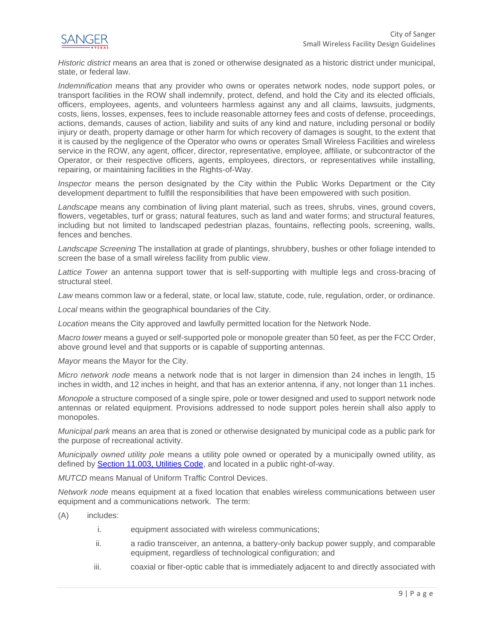

*Historic district* means an area that is zoned or otherwise designated as a historic district under municipal, state, or federal law.

*Indemnification* means that any provider who owns or operates network nodes, node support poles, or transport facilities in the ROW shall indemnify, protect, defend, and hold the City and its elected officials, officers, employees, agents, and volunteers harmless against any and all claims, lawsuits, judgments, costs, liens, losses, expenses, fees to include reasonable attorney fees and costs of defense, proceedings, actions, demands, causes of action, liability and suits of any kind and nature, including personal or bodily injury or death, property damage or other harm for which recovery of damages is sought, to the extent that it is caused by the negligence of the Operator who owns or operates Small Wireless Facilities and wireless service in the ROW, any agent, officer, director, representative, employee, affiliate, or subcontractor of the Operator, or their respective officers, agents, employees, directors, or representatives while installing, repairing, or maintaining facilities in the Rights-of-Way.

*Inspector* means the person designated by the City within the Public Works Department or the City development department to fulfill the responsibilities that have been empowered with such position.

*Landscape* means any combination of living plant material, such as trees, shrubs, vines, ground covers, flowers, vegetables, turf or grass; natural features, such as land and water forms; and structural features, including but not limited to landscaped pedestrian plazas, fountains, reflecting pools, screening, walls, fences and benches.

*Landscape Screening* The installation at grade of plantings, shrubbery, bushes or other foliage intended to screen the base of a small wireless facility from public view.

*Lattice Tower* an antenna support tower that is self-supporting with multiple legs and cross-bracing of structural steel.

*Law* means common law or a federal, state, or local law, statute, code, rule, regulation, order, or ordinance.

*Local* means within the geographical boundaries of the City.

*Location* means the City approved and lawfully permitted location for the Network Node*.*

*Macro tower* means a guyed or self-supported pole or monopole greater than 50 feet, as per the FCC Order, above ground level and that supports or is capable of supporting antennas.

*Mayor* means the Mayor for the City.

*Micro network node* means a network node that is not larger in dimension than 24 inches in length, 15 inches in width, and 12 inches in height, and that has an exterior antenna, if any, not longer than 11 inches.

*Monopole* a structure composed of a single spire, pole or tower designed and used to support network node antennas or related equipment. Provisions addressed to node support poles herein shall also apply to monopoles.

*Municipal park* means an area that is zoned or otherwise designated by municipal code as a public park for the purpose of recreational activity.

*Municipally owned utility pole* means a utility pole owned or operated by a municipally owned utility, as defined by [Section 11.003, Utilities Code,](https://statutes.capitol.texas.gov/Docs/UT/htm/UT.11.htm#11.003) and located in a public right-of-way.

*MUTCD* means Manual of Uniform Traffic Control Devices.

*Network node* means equipment at a fixed location that enables wireless communications between user equipment and a communications network. The term:

- (A) includes:
	- i. equipment associated with wireless communications;
	- ii. a radio transceiver, an antenna, a battery-only backup power supply, and comparable equipment, regardless of technological configuration; and
	- iii. coaxial or fiber-optic cable that is immediately adjacent to and directly associated with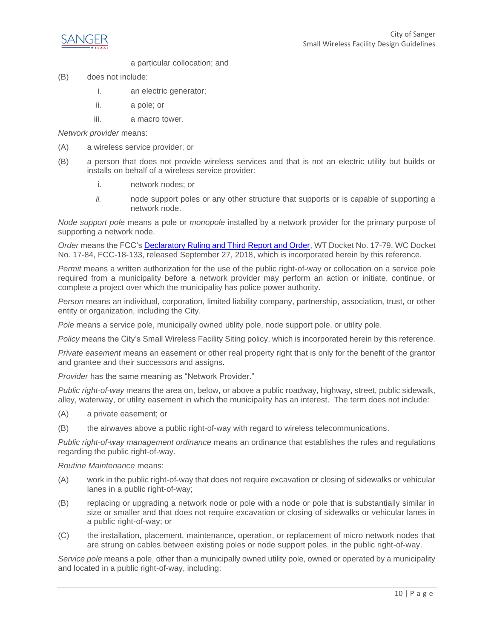

a particular collocation; and

- (B) does not include:
	- i. an electric generator;
	- ii. a pole; or
	- iii. a macro tower.

*Network provider* means:

- (A) a wireless service provider; or
- (B) a person that does not provide wireless services and that is not an electric utility but builds or installs on behalf of a wireless service provider:
	- i. network nodes; or
	- *ii.* node support poles or any other structure that supports or is capable of supporting a network node.

*Node support pole* means a pole or *monopole* installed by a network provider for the primary purpose of supporting a network node.

*Order* means the FCC's [Declaratory Ruling and Third Report and Order,](https://docs.fcc.gov/public/attachments/FCC-18-133A1.pdf) WT Docket No. 17-79, WC Docket No. 17-84, FCC-18-133, released September 27, 2018, which is incorporated herein by this reference.

*Permit* means a written authorization for the use of the public right-of-way or collocation on a service pole required from a municipality before a network provider may perform an action or initiate, continue, or complete a project over which the municipality has police power authority.

*Person* means an individual, corporation, limited liability company, partnership, association, trust, or other entity or organization, including the City.

*Pole* means a service pole, municipally owned utility pole, node support pole, or utility pole.

*Policy* means the City's Small Wireless Facility Siting policy, which is incorporated herein by this reference.

*Private easement* means an easement or other real property right that is only for the benefit of the grantor and grantee and their successors and assigns.

*Provider* has the same meaning as "Network Provider."

*Public right-of-way* means the area on, below, or above a public roadway, highway, street, public sidewalk, alley, waterway, or utility easement in which the municipality has an interest. The term does not include:

- (A) a private easement; or
- (B) the airwaves above a public right-of-way with regard to wireless telecommunications.

*Public right-of-way management ordinance* means an ordinance that establishes the rules and regulations regarding the public right-of-way.

*Routine Maintenance* means:

- (A) work in the public right-of-way that does not require excavation or closing of sidewalks or vehicular lanes in a public right-of-way;
- (B) replacing or upgrading a network node or pole with a node or pole that is substantially similar in size or smaller and that does not require excavation or closing of sidewalks or vehicular lanes in a public right-of-way; or
- (C) the installation, placement, maintenance, operation, or replacement of micro network nodes that are strung on cables between existing poles or node support poles, in the public right-of-way.

*Service pole* means a pole, other than a municipally owned utility pole, owned or operated by a municipality and located in a public right-of-way, including: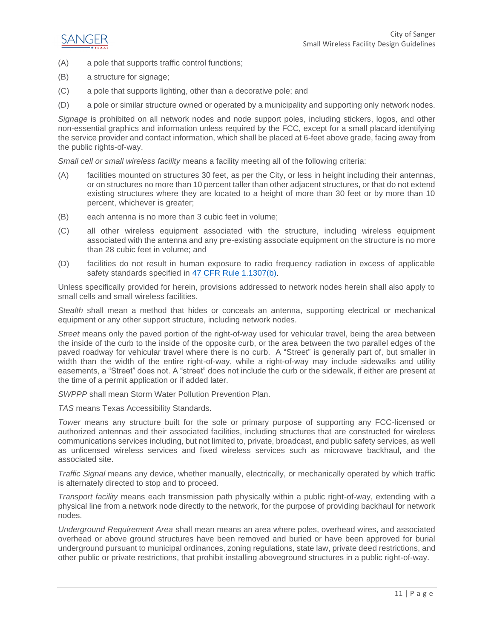

- (A) a pole that supports traffic control functions;
- (B) a structure for signage;
- (C) a pole that supports lighting, other than a decorative pole; and
- (D) a pole or similar structure owned or operated by a municipality and supporting only network nodes.

*Signage* is prohibited on all network nodes and node support poles, including stickers, logos, and other non-essential graphics and information unless required by the FCC, except for a small placard identifying the service provider and contact information, which shall be placed at 6-feet above grade, facing away from the public rights-of-way.

*Small cell or small wireless facility* means a facility meeting all of the following criteria:

- (A) facilities mounted on structures 30 feet, as per the City, or less in height including their antennas, or on structures no more than 10 percent taller than other adjacent structures, or that do not extend existing structures where they are located to a height of more than 30 feet or by more than 10 percent, whichever is greater;
- (B) each antenna is no more than 3 cubic feet in volume;
- (C) all other wireless equipment associated with the structure, including wireless equipment associated with the antenna and any pre-existing associate equipment on the structure is no more than 28 cubic feet in volume; and
- (D) facilities do not result in human exposure to radio frequency radiation in excess of applicable safety standards specified in [47 CFR Rule 1.1307\(b\).](https://www.govinfo.gov/content/pkg/CFR-2013-title47-vol1/pdf/CFR-2013-title47-vol1-sec1-1307.pdf)

Unless specifically provided for herein, provisions addressed to network nodes herein shall also apply to small cells and small wireless facilities.

*Stealth* shall mean a method that hides or conceals an antenna, supporting electrical or mechanical equipment or any other support structure, including network nodes.

*Street* means only the paved portion of the right-of-way used for vehicular travel, being the area between the inside of the curb to the inside of the opposite curb, or the area between the two parallel edges of the paved roadway for vehicular travel where there is no curb. A "Street" is generally part of, but smaller in width than the width of the entire right-of-way, while a right-of-way may include sidewalks and utility easements, a "Street" does not. A "street" does not include the curb or the sidewalk, if either are present at the time of a permit application or if added later.

*SWPPP* shall mean Storm Water Pollution Prevention Plan.

*TAS* means Texas Accessibility Standards.

*Tower* means any structure built for the sole or primary purpose of supporting any FCC-licensed or authorized antennas and their associated facilities, including structures that are constructed for wireless communications services including, but not limited to, private, broadcast, and public safety services, as well as unlicensed wireless services and fixed wireless services such as microwave backhaul, and the associated site.

*Traffic Signal* means any device, whether manually, electrically, or mechanically operated by which traffic is alternately directed to stop and to proceed.

*Transport facility* means each transmission path physically within a public right-of-way, extending with a physical line from a network node directly to the network, for the purpose of providing backhaul for network nodes.

*Underground Requirement Area* shall mean means an area where poles, overhead wires, and associated overhead or above ground structures have been removed and buried or have been approved for burial underground pursuant to municipal ordinances, zoning regulations, state law, private deed restrictions, and other public or private restrictions, that prohibit installing aboveground structures in a public right-of-way.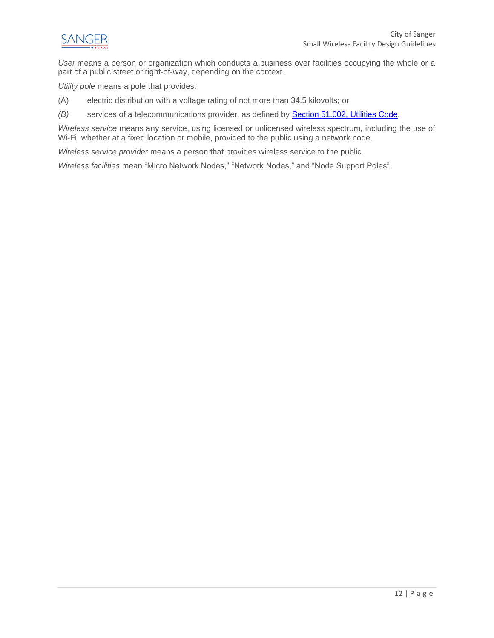

*User* means a person or organization which conducts a business over facilities occupying the whole or a part of a public street or right-of-way, depending on the context.

*Utility pole* means a pole that provides:

- (A) electric distribution with a voltage rating of not more than 34.5 kilovolts; or
- *(B)* services of a telecommunications provider, as defined by [Section 51.002, Utilities Code.](https://statutes.capitol.texas.gov/Docs/UT/htm/UT.51.htm#51.002)

*Wireless service* means any service, using licensed or unlicensed wireless spectrum, including the use of Wi-Fi, whether at a fixed location or mobile, provided to the public using a network node.

*Wireless service provider* means a person that provides wireless service to the public.

*Wireless facilities* mean "Micro Network Nodes," "Network Nodes," and "Node Support Poles".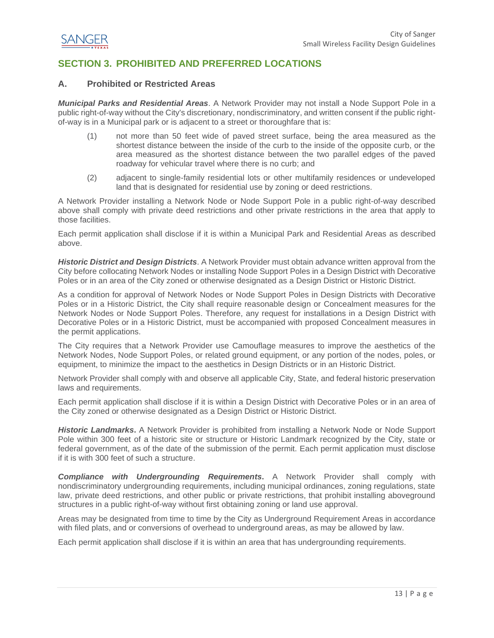

## <span id="page-13-0"></span>**SECTION 3. PROHIBITED AND PREFERRED LOCATIONS**

#### <span id="page-13-1"></span>**A. Prohibited or Restricted Areas**

*Municipal Parks and Residential Areas*. A Network Provider may not install a Node Support Pole in a public right-of-way without the City's discretionary, nondiscriminatory, and written consent if the public rightof-way is in a Municipal park or is adjacent to a street or thoroughfare that is:

- (1) not more than 50 feet wide of paved street surface, being the area measured as the shortest distance between the inside of the curb to the inside of the opposite curb, or the area measured as the shortest distance between the two parallel edges of the paved roadway for vehicular travel where there is no curb; and
- (2) adjacent to single-family residential lots or other multifamily residences or undeveloped land that is designated for residential use by zoning or deed restrictions.

A Network Provider installing a Network Node or Node Support Pole in a public right-of-way described above shall comply with private deed restrictions and other private restrictions in the area that apply to those facilities.

Each permit application shall disclose if it is within a Municipal Park and Residential Areas as described above.

*Historic District and Design Districts*. A Network Provider must obtain advance written approval from the City before collocating Network Nodes or installing Node Support Poles in a Design District with Decorative Poles or in an area of the City zoned or otherwise designated as a Design District or Historic District.

As a condition for approval of Network Nodes or Node Support Poles in Design Districts with Decorative Poles or in a Historic District, the City shall require reasonable design or Concealment measures for the Network Nodes or Node Support Poles. Therefore, any request for installations in a Design District with Decorative Poles or in a Historic District, must be accompanied with proposed Concealment measures in the permit applications.

The City requires that a Network Provider use Camouflage measures to improve the aesthetics of the Network Nodes, Node Support Poles, or related ground equipment, or any portion of the nodes, poles, or equipment, to minimize the impact to the aesthetics in Design Districts or in an Historic District.

Network Provider shall comply with and observe all applicable City, State, and federal historic preservation laws and requirements.

Each permit application shall disclose if it is within a Design District with Decorative Poles or in an area of the City zoned or otherwise designated as a Design District or Historic District.

*Historic Landmarks***.** A Network Provider is prohibited from installing a Network Node or Node Support Pole within 300 feet of a historic site or structure or Historic Landmark recognized by the City, state or federal government, as of the date of the submission of the permit. Each permit application must disclose if it is with 300 feet of such a structure.

*Compliance with Undergrounding Requirements***.** A Network Provider shall comply with nondiscriminatory undergrounding requirements, including municipal ordinances, zoning regulations, state law, private deed restrictions, and other public or private restrictions, that prohibit installing aboveground structures in a public right-of-way without first obtaining zoning or land use approval.

Areas may be designated from time to time by the City as Underground Requirement Areas in accordance with filed plats, and or conversions of overhead to underground areas, as may be allowed by law.

Each permit application shall disclose if it is within an area that has undergrounding requirements.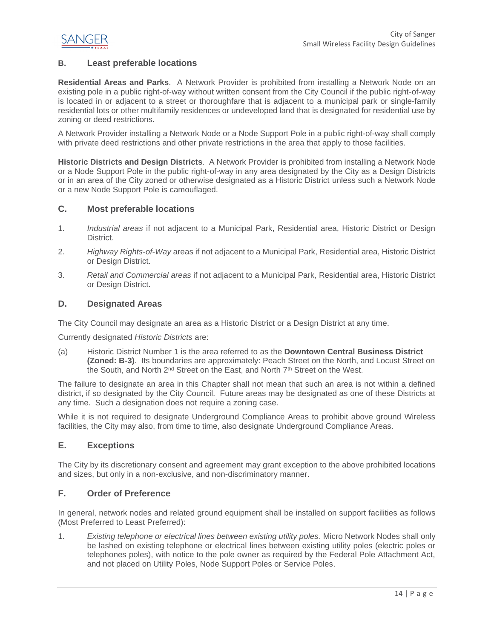

#### <span id="page-14-0"></span>**B. Least preferable locations**

**Residential Areas and Parks**. A Network Provider is prohibited from installing a Network Node on an existing pole in a public right-of-way without written consent from the City Council if the public right-of-way is located in or adjacent to a street or thoroughfare that is adjacent to a municipal park or single-family residential lots or other multifamily residences or undeveloped land that is designated for residential use by zoning or deed restrictions.

A Network Provider installing a Network Node or a Node Support Pole in a public right-of-way shall comply with private deed restrictions and other private restrictions in the area that apply to those facilities.

**Historic Districts and Design Districts**. A Network Provider is prohibited from installing a Network Node or a Node Support Pole in the public right-of-way in any area designated by the City as a Design Districts or in an area of the City zoned or otherwise designated as a Historic District unless such a Network Node or a new Node Support Pole is camouflaged.

#### <span id="page-14-1"></span>**C. Most preferable locations**

- 1. *Industrial areas* if not adjacent to a Municipal Park, Residential area, Historic District or Design District.
- 2. *Highway Rights-of-Way* areas if not adjacent to a Municipal Park, Residential area, Historic District or Design District.
- 3. *Retail and Commercial areas* if not adjacent to a Municipal Park, Residential area, Historic District or Design District.

#### <span id="page-14-2"></span>**D. Designated Areas**

The City Council may designate an area as a Historic District or a Design District at any time.

Currently designated *Historic Districts* are:

(a) Historic District Number 1 is the area referred to as the **Downtown Central Business District (Zoned: B-3)**. Its boundaries are approximately: Peach Street on the North, and Locust Street on the South, and North 2<sup>nd</sup> Street on the East, and North 7<sup>th</sup> Street on the West.

The failure to designate an area in this Chapter shall not mean that such an area is not within a defined district, if so designated by the City Council. Future areas may be designated as one of these Districts at any time. Such a designation does not require a zoning case.

While it is not required to designate Underground Compliance Areas to prohibit above ground Wireless facilities, the City may also, from time to time, also designate Underground Compliance Areas.

#### <span id="page-14-3"></span>**E. Exceptions**

The City by its discretionary consent and agreement may grant exception to the above prohibited locations and sizes, but only in a non-exclusive, and non-discriminatory manner.

#### <span id="page-14-4"></span>**F. Order of Preference**

In general, network nodes and related ground equipment shall be installed on support facilities as follows (Most Preferred to Least Preferred):

1. *Existing telephone or electrical lines between existing utility poles*. Micro Network Nodes shall only be lashed on existing telephone or electrical lines between existing utility poles (electric poles or telephones poles), with notice to the pole owner as required by the Federal Pole Attachment Act, and not placed on Utility Poles, Node Support Poles or Service Poles.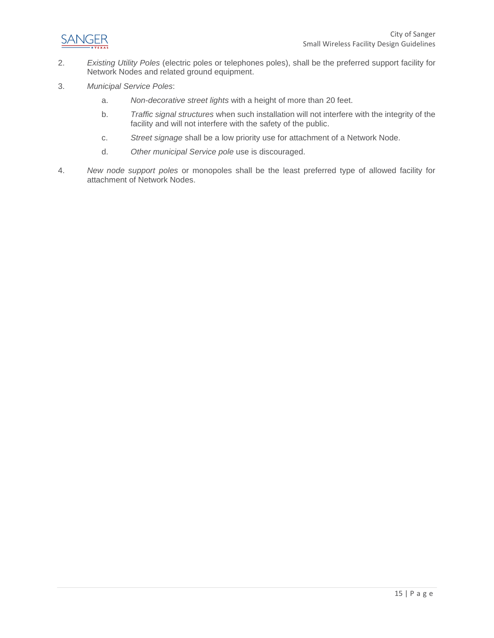

- 2. *Existing Utility Poles* (electric poles or telephones poles), shall be the preferred support facility for Network Nodes and related ground equipment.
- 3. *Municipal Service Poles*:
	- a. *Non-decorative street lights* with a height of more than 20 feet.
	- b. *Traffic signal structures* when such installation will not interfere with the integrity of the facility and will not interfere with the safety of the public.
	- c. *Street signage* shall be a low priority use for attachment of a Network Node.
	- d. *Other municipal Service pole* use is discouraged.
- 4. *New node support poles* or monopoles shall be the least preferred type of allowed facility for attachment of Network Nodes.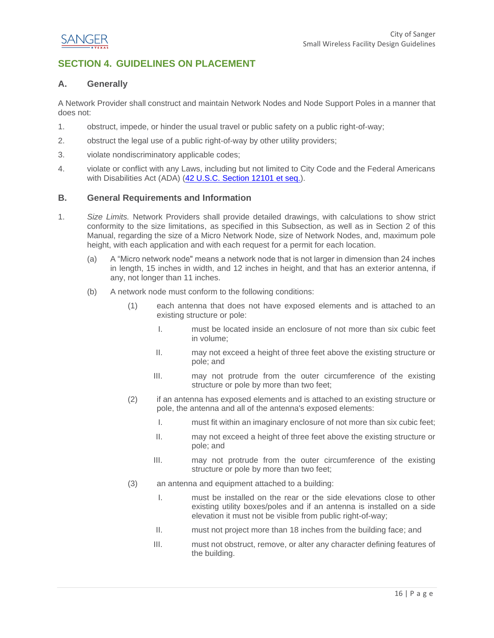

## <span id="page-16-0"></span>**SECTION 4. GUIDELINES ON PLACEMENT**

#### <span id="page-16-1"></span>**A. Generally**

A Network Provider shall construct and maintain Network Nodes and Node Support Poles in a manner that does not:

- 1. obstruct, impede, or hinder the usual travel or public safety on a public right-of-way;
- 2. obstruct the legal use of a public right-of-way by other utility providers;
- 3. violate nondiscriminatory applicable codes;
- 4. violate or conflict with any Laws, including but not limited to City Code and the Federal Americans with Disabilities Act (ADA) [\(42 U.S.C. Section 12101 et seq.\)](https://www.govinfo.gov/content/pkg/USCODE-2010-title42/pdf/USCODE-2010-title42-chap126.pdf).

#### <span id="page-16-2"></span>**B. General Requirements and Information**

- 1. *Size Limits.* Network Providers shall provide detailed drawings, with calculations to show strict conformity to the size limitations, as specified in this Subsection, as well as in Section 2 of this Manual, regarding the size of a Micro Network Node, size of Network Nodes, and, maximum pole height, with each application and with each request for a permit for each location.
	- (a) A "Micro network node" means a network node that is not larger in dimension than 24 inches in length, 15 inches in width, and 12 inches in height, and that has an exterior antenna, if any, not longer than 11 inches.
	- (b) A network node must conform to the following conditions:
		- (1) each antenna that does not have exposed elements and is attached to an existing structure or pole:
			- I. must be located inside an enclosure of not more than six cubic feet in volume;
			- II. may not exceed a height of three feet above the existing structure or pole; and
			- III. may not protrude from the outer circumference of the existing structure or pole by more than two feet;
		- (2) if an antenna has exposed elements and is attached to an existing structure or pole, the antenna and all of the antenna's exposed elements:
			- I. must fit within an imaginary enclosure of not more than six cubic feet;
			- II. may not exceed a height of three feet above the existing structure or pole; and
			- III. may not protrude from the outer circumference of the existing structure or pole by more than two feet;
		- (3) an antenna and equipment attached to a building:
			- I. must be installed on the rear or the side elevations close to other existing utility boxes/poles and if an antenna is installed on a side elevation it must not be visible from public right-of-way;
			- II. must not project more than 18 inches from the building face; and
			- III. must not obstruct, remove, or alter any character defining features of the building.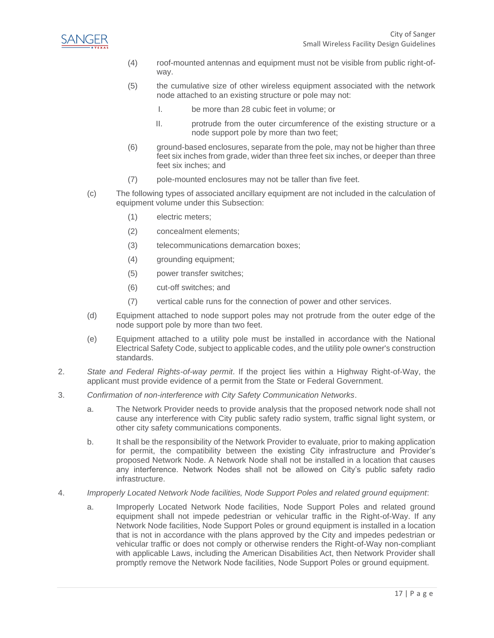

- (4) roof-mounted antennas and equipment must not be visible from public right-ofway.
- (5) the cumulative size of other wireless equipment associated with the network node attached to an existing structure or pole may not:
	- I. be more than 28 cubic feet in volume; or
	- II. protrude from the outer circumference of the existing structure or a node support pole by more than two feet;
- (6) ground-based enclosures, separate from the pole, may not be higher than three feet six inches from grade, wider than three feet six inches, or deeper than three feet six inches; and
- (7) pole-mounted enclosures may not be taller than five feet.
- (c) The following types of associated ancillary equipment are not included in the calculation of equipment volume under this Subsection:
	- (1) electric meters;
	- (2) concealment elements;
	- (3) telecommunications demarcation boxes;
	- (4) grounding equipment;
	- (5) power transfer switches;
	- (6) cut-off switches; and
	- (7) vertical cable runs for the connection of power and other services.
- (d) Equipment attached to node support poles may not protrude from the outer edge of the node support pole by more than two feet.
- (e) Equipment attached to a utility pole must be installed in accordance with the National Electrical Safety Code, subject to applicable codes, and the utility pole owner's construction standards.
- 2. *State and Federal Rights-of-way permit*. If the project lies within a Highway Right-of-Way, the applicant must provide evidence of a permit from the State or Federal Government.
- 3. *Confirmation of non-interference with City Safety Communication Networks*.
	- a. The Network Provider needs to provide analysis that the proposed network node shall not cause any interference with City public safety radio system, traffic signal light system, or other city safety communications components.
	- b. It shall be the responsibility of the Network Provider to evaluate, prior to making application for permit, the compatibility between the existing City infrastructure and Provider's proposed Network Node. A Network Node shall not be installed in a location that causes any interference. Network Nodes shall not be allowed on City's public safety radio infrastructure.
- 4. *Improperly Located Network Node facilities, Node Support Poles and related ground equipment*:
	- a. Improperly Located Network Node facilities, Node Support Poles and related ground equipment shall not impede pedestrian or vehicular traffic in the Right-of-Way. If any Network Node facilities, Node Support Poles or ground equipment is installed in a location that is not in accordance with the plans approved by the City and impedes pedestrian or vehicular traffic or does not comply or otherwise renders the Right-of-Way non-compliant with applicable Laws, including the American Disabilities Act, then Network Provider shall promptly remove the Network Node facilities, Node Support Poles or ground equipment.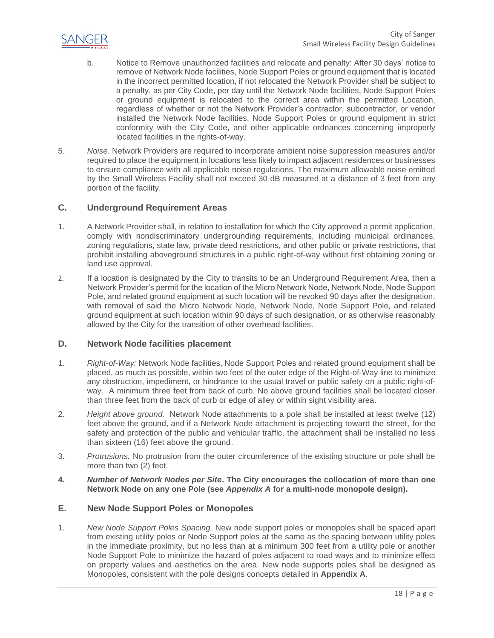

- b. Notice to Remove unauthorized facilities and relocate and penalty: After 30 days' notice to remove of Network Node facilities, Node Support Poles or ground equipment that is located in the incorrect permitted location, if not relocated the Network Provider shall be subject to a penalty, as per City Code, per day until the Network Node facilities, Node Support Poles or ground equipment is relocated to the correct area within the permitted Location, regardless of whether or not the Network Provider's contractor, subcontractor, or vendor installed the Network Node facilities, Node Support Poles or ground equipment in strict conformity with the City Code, and other applicable ordnances concerning improperly located facilities in the rights-of-way.
- 5. *Noise.* Network Providers are required to incorporate ambient noise suppression measures and/or required to place the equipment in locations less likely to impact adjacent residences or businesses to ensure compliance with all applicable noise regulations. The maximum allowable noise emitted by the Small Wireless Facility shall not exceed 30 dB measured at a distance of 3 feet from any portion of the facility.

#### <span id="page-18-0"></span>**C. Underground Requirement Areas**

- 1. A Network Provider shall, in relation to installation for which the City approved a permit application, comply with nondiscriminatory undergrounding requirements, including municipal ordinances, zoning regulations, state law, private deed restrictions, and other public or private restrictions, that prohibit installing aboveground structures in a public right-of-way without first obtaining zoning or land use approval.
- 2. If a location is designated by the City to transits to be an Underground Requirement Area, then a Network Provider's permit for the location of the Micro Network Node, Network Node, Node Support Pole, and related ground equipment at such location will be revoked 90 days after the designation, with removal of said the Micro Network Node, Network Node, Node Support Pole, and related ground equipment at such location within 90 days of such designation, or as otherwise reasonably allowed by the City for the transition of other overhead facilities.

#### <span id="page-18-1"></span>**D. Network Node facilities placement**

- 1. *Right-of-Way:* Network Node facilities, Node Support Poles and related ground equipment shall be placed, as much as possible, within two feet of the outer edge of the Right-of-Way line to minimize any obstruction, impediment, or hindrance to the usual travel or public safety on a public right-ofway. A minimum three feet from back of curb. No above ground facilities shall be located closer than three feet from the back of curb or edge of alley or within sight visibility area.
- 2. *Height above ground.* Network Node attachments to a pole shall be installed at least twelve (12) feet above the ground, and if a Network Node attachment is projecting toward the street, for the safety and protection of the public and vehicular traffic, the attachment shall be installed no less than sixteen (16) feet above the ground.
- 3. *Protrusions.* No protrusion from the outer circumference of the existing structure or pole shall be more than two (2) feet.
- **4.** *Number of Network Nodes per Site***. The City encourages the collocation of more than one Network Node on any one Pole (see** *Appendix A* **for a multi-node monopole design).**

#### <span id="page-18-2"></span>**E. New Node Support Poles or Monopoles**

1. *New Node Support Poles Spacing.* New node support poles or monopoles shall be spaced apart from existing utility poles or Node Support poles at the same as the spacing between utility poles in the immediate proximity, but no less than at a minimum 300 feet from a utility pole or another Node Support Pole to minimize the hazard of poles adjacent to road ways and to minimize effect on property values and aesthetics on the area. New node supports poles shall be designed as Monopoles, consistent with the pole designs concepts detailed in **Appendix A**.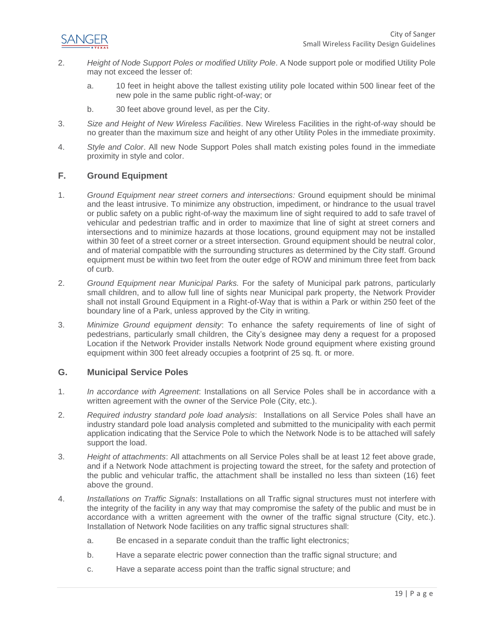

- 2. *Height of Node Support Poles or modified Utility Pole*. A Node support pole or modified Utility Pole may not exceed the lesser of:
	- a. 10 feet in height above the tallest existing utility pole located within 500 linear feet of the new pole in the same public right-of-way; or
	- b. 30 feet above ground level, as per the City.
- 3. *Size and Height of New Wireless Facilities*. New Wireless Facilities in the right-of-way should be no greater than the maximum size and height of any other Utility Poles in the immediate proximity.
- 4. *Style and Color*. All new Node Support Poles shall match existing poles found in the immediate proximity in style and color.

#### <span id="page-19-0"></span>**F. Ground Equipment**

- 1. *Ground Equipment near street corners and intersections:* Ground equipment should be minimal and the least intrusive. To minimize any obstruction, impediment, or hindrance to the usual travel or public safety on a public right-of-way the maximum line of sight required to add to safe travel of vehicular and pedestrian traffic and in order to maximize that line of sight at street corners and intersections and to minimize hazards at those locations, ground equipment may not be installed within 30 feet of a street corner or a street intersection. Ground equipment should be neutral color, and of material compatible with the surrounding structures as determined by the City staff. Ground equipment must be within two feet from the outer edge of ROW and minimum three feet from back of curb.
- 2. *Ground Equipment near Municipal Parks.* For the safety of Municipal park patrons, particularly small children, and to allow full line of sights near Municipal park property, the Network Provider shall not install Ground Equipment in a Right-of-Way that is within a Park or within 250 feet of the boundary line of a Park, unless approved by the City in writing.
- 3. *Minimize Ground equipment density*: To enhance the safety requirements of line of sight of pedestrians, particularly small children, the City's designee may deny a request for a proposed Location if the Network Provider installs Network Node ground equipment where existing ground equipment within 300 feet already occupies a footprint of 25 sq. ft. or more.

#### <span id="page-19-1"></span>**G. Municipal Service Poles**

- 1. *In accordance with Agreement*: Installations on all Service Poles shall be in accordance with a written agreement with the owner of the Service Pole (City, etc.).
- 2. *Required industry standard pole load analysis*: Installations on all Service Poles shall have an industry standard pole load analysis completed and submitted to the municipality with each permit application indicating that the Service Pole to which the Network Node is to be attached will safely support the load.
- 3. *Height of attachments*: All attachments on all Service Poles shall be at least 12 feet above grade, and if a Network Node attachment is projecting toward the street, for the safety and protection of the public and vehicular traffic, the attachment shall be installed no less than sixteen (16) feet above the ground.
- 4. *Installations on Traffic Signals*: Installations on all Traffic signal structures must not interfere with the integrity of the facility in any way that may compromise the safety of the public and must be in accordance with a written agreement with the owner of the traffic signal structure (City, etc.). Installation of Network Node facilities on any traffic signal structures shall:
	- a. Be encased in a separate conduit than the traffic light electronics;
	- b. Have a separate electric power connection than the traffic signal structure; and
	- c. Have a separate access point than the traffic signal structure; and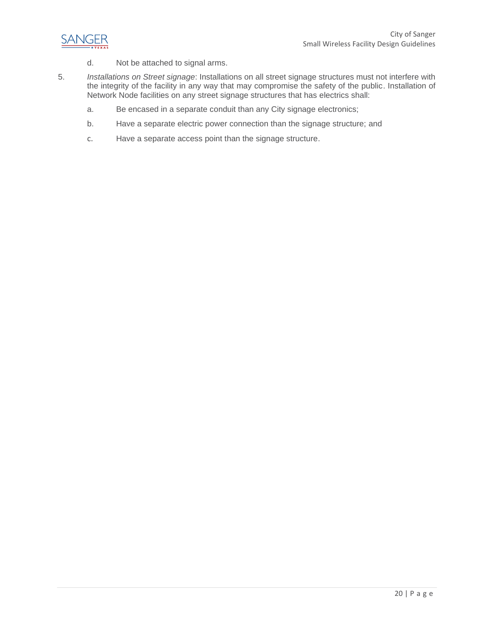

- d. Not be attached to signal arms.
- 5. *Installations on Street signage*: Installations on all street signage structures must not interfere with the integrity of the facility in any way that may compromise the safety of the public. Installation of Network Node facilities on any street signage structures that has electrics shall:
	- a. Be encased in a separate conduit than any City signage electronics;
	- b. Have a separate electric power connection than the signage structure; and
	- c. Have a separate access point than the signage structure.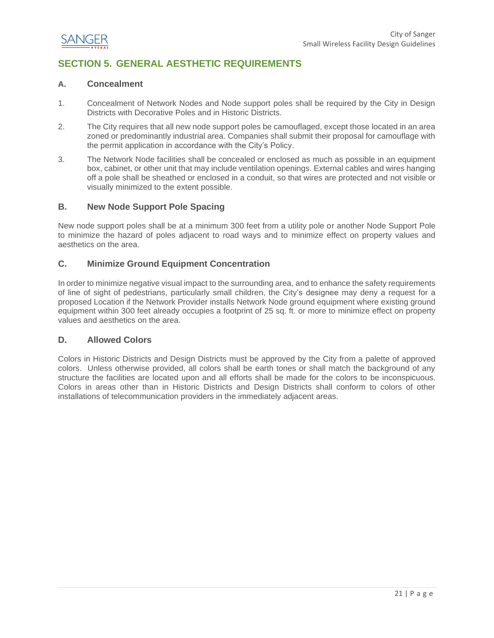

## <span id="page-21-0"></span>**SECTION 5. GENERAL AESTHETIC REQUIREMENTS**

#### <span id="page-21-1"></span>**A. Concealment**

- 1. Concealment of Network Nodes and Node support poles shall be required by the City in Design Districts with Decorative Poles and in Historic Districts.
- 2. The City requires that all new node support poles be camouflaged, except those located in an area zoned or predominantly industrial area. Companies shall submit their proposal for camouflage with the permit application in accordance with the City's Policy.
- 3. The Network Node facilities shall be concealed or enclosed as much as possible in an equipment box, cabinet, or other unit that may include ventilation openings. External cables and wires hanging off a pole shall be sheathed or enclosed in a conduit, so that wires are protected and not visible or visually minimized to the extent possible.

#### <span id="page-21-2"></span>**B. New Node Support Pole Spacing**

New node support poles shall be at a minimum 300 feet from a utility pole or another Node Support Pole to minimize the hazard of poles adjacent to road ways and to minimize effect on property values and aesthetics on the area.

#### <span id="page-21-3"></span>**C. Minimize Ground Equipment Concentration**

In order to minimize negative visual impact to the surrounding area, and to enhance the safety requirements of line of sight of pedestrians, particularly small children, the City's designee may deny a request for a proposed Location if the Network Provider installs Network Node ground equipment where existing ground equipment within 300 feet already occupies a footprint of 25 sq. ft. or more to minimize effect on property values and aesthetics on the area.

#### <span id="page-21-4"></span>**D. Allowed Colors**

Colors in Historic Districts and Design Districts must be approved by the City from a palette of approved colors. Unless otherwise provided, all colors shall be earth tones or shall match the background of any structure the facilities are located upon and all efforts shall be made for the colors to be inconspicuous. Colors in areas other than in Historic Districts and Design Districts shall conform to colors of other installations of telecommunication providers in the immediately adjacent areas.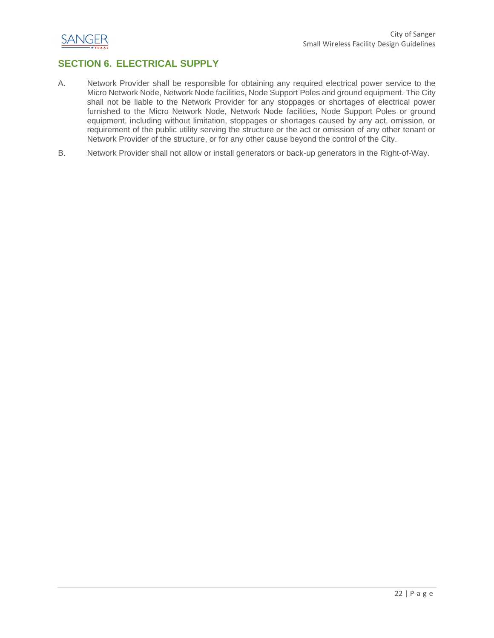

## <span id="page-22-0"></span>**SECTION 6. ELECTRICAL SUPPLY**

- A. Network Provider shall be responsible for obtaining any required electrical power service to the Micro Network Node, Network Node facilities, Node Support Poles and ground equipment. The City shall not be liable to the Network Provider for any stoppages or shortages of electrical power furnished to the Micro Network Node, Network Node facilities, Node Support Poles or ground equipment, including without limitation, stoppages or shortages caused by any act, omission, or requirement of the public utility serving the structure or the act or omission of any other tenant or Network Provider of the structure, or for any other cause beyond the control of the City.
- B. Network Provider shall not allow or install generators or back-up generators in the Right-of-Way.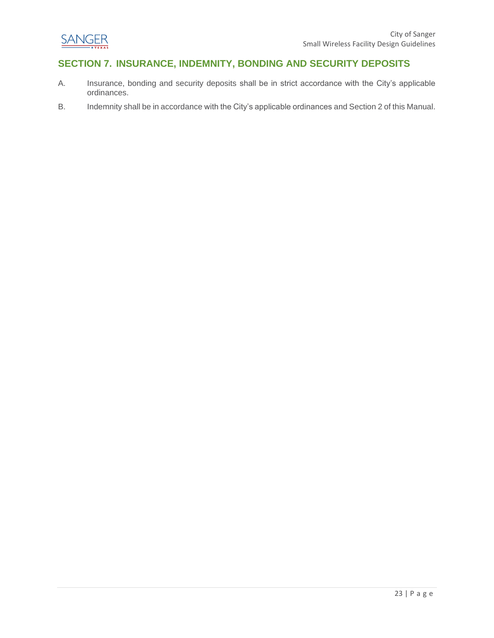

## <span id="page-23-0"></span>**SECTION 7. INSURANCE, INDEMNITY, BONDING AND SECURITY DEPOSITS**

- A. Insurance, bonding and security deposits shall be in strict accordance with the City's applicable ordinances.
- B. Indemnity shall be in accordance with the City's applicable ordinances and Section 2 of this Manual.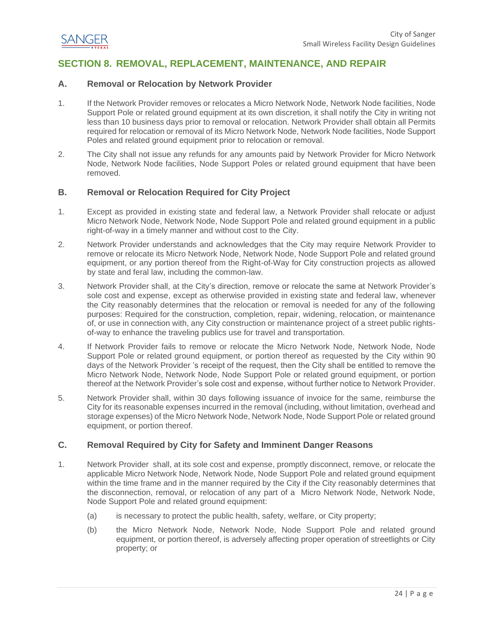

## <span id="page-24-0"></span>**SECTION 8. REMOVAL, REPLACEMENT, MAINTENANCE, AND REPAIR**

#### <span id="page-24-1"></span>**A. Removal or Relocation by Network Provider**

- 1. If the Network Provider removes or relocates a Micro Network Node, Network Node facilities, Node Support Pole or related ground equipment at its own discretion, it shall notify the City in writing not less than 10 business days prior to removal or relocation. Network Provider shall obtain all Permits required for relocation or removal of its Micro Network Node, Network Node facilities, Node Support Poles and related ground equipment prior to relocation or removal.
- 2. The City shall not issue any refunds for any amounts paid by Network Provider for Micro Network Node, Network Node facilities, Node Support Poles or related ground equipment that have been removed.

#### <span id="page-24-2"></span>**B. Removal or Relocation Required for City Project**

- 1. Except as provided in existing state and federal law, a Network Provider shall relocate or adjust Micro Network Node, Network Node, Node Support Pole and related ground equipment in a public right-of-way in a timely manner and without cost to the City.
- 2. Network Provider understands and acknowledges that the City may require Network Provider to remove or relocate its Micro Network Node, Network Node, Node Support Pole and related ground equipment, or any portion thereof from the Right-of-Way for City construction projects as allowed by state and feral law, including the common-law.
- 3. Network Provider shall, at the City's direction, remove or relocate the same at Network Provider's sole cost and expense, except as otherwise provided in existing state and federal law, whenever the City reasonably determines that the relocation or removal is needed for any of the following purposes: Required for the construction, completion, repair, widening, relocation, or maintenance of, or use in connection with, any City construction or maintenance project of a street public rightsof-way to enhance the traveling publics use for travel and transportation.
- 4. If Network Provider fails to remove or relocate the Micro Network Node, Network Node, Node Support Pole or related ground equipment, or portion thereof as requested by the City within 90 days of the Network Provider 's receipt of the request, then the City shall be entitled to remove the Micro Network Node, Network Node, Node Support Pole or related ground equipment, or portion thereof at the Network Provider's sole cost and expense, without further notice to Network Provider.
- 5. Network Provider shall, within 30 days following issuance of invoice for the same, reimburse the City for its reasonable expenses incurred in the removal (including, without limitation, overhead and storage expenses) of the Micro Network Node, Network Node, Node Support Pole or related ground equipment, or portion thereof.

#### <span id="page-24-3"></span>**C. Removal Required by City for Safety and Imminent Danger Reasons**

- 1. Network Provider shall, at its sole cost and expense, promptly disconnect, remove, or relocate the applicable Micro Network Node, Network Node, Node Support Pole and related ground equipment within the time frame and in the manner required by the City if the City reasonably determines that the disconnection, removal, or relocation of any part of a Micro Network Node, Network Node, Node Support Pole and related ground equipment:
	- (a) is necessary to protect the public health, safety, welfare, or City property;
	- (b) the Micro Network Node, Network Node, Node Support Pole and related ground equipment, or portion thereof, is adversely affecting proper operation of streetlights or City property; or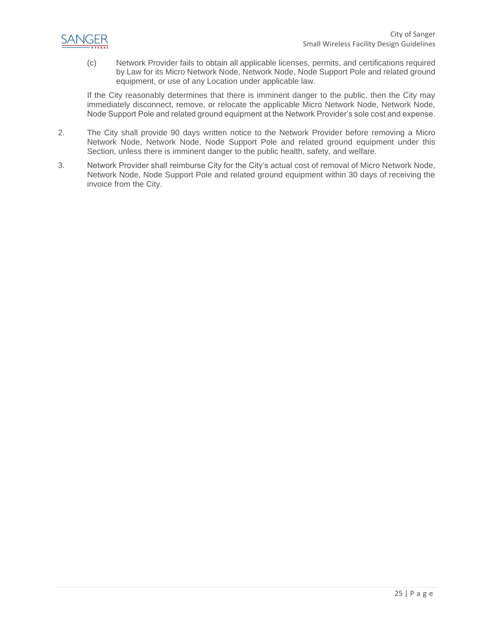

(c) Network Provider fails to obtain all applicable licenses, permits, and certifications required by Law for its Micro Network Node, Network Node, Node Support Pole and related ground equipment, or use of any Location under applicable law.

If the City reasonably determines that there is imminent danger to the public, then the City may immediately disconnect, remove, or relocate the applicable Micro Network Node, Network Node, Node Support Pole and related ground equipment at the Network Provider's sole cost and expense.

- 2. The City shall provide 90 days written notice to the Network Provider before removing a Micro Network Node, Network Node, Node Support Pole and related ground equipment under this Section, unless there is imminent danger to the public health, safety, and welfare.
- 3. Network Provider shall reimburse City for the City's actual cost of removal of Micro Network Node, Network Node, Node Support Pole and related ground equipment within 30 days of receiving the invoice from the City.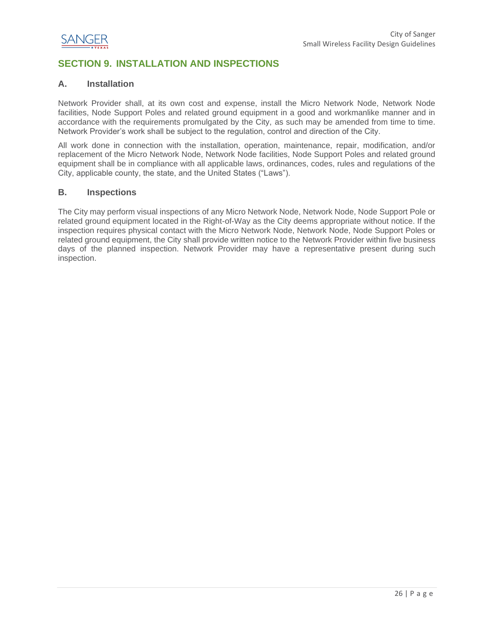

## <span id="page-26-0"></span>**SECTION 9. INSTALLATION AND INSPECTIONS**

#### <span id="page-26-1"></span>**A. Installation**

Network Provider shall, at its own cost and expense, install the Micro Network Node, Network Node facilities, Node Support Poles and related ground equipment in a good and workmanlike manner and in accordance with the requirements promulgated by the City, as such may be amended from time to time. Network Provider's work shall be subject to the regulation, control and direction of the City.

All work done in connection with the installation, operation, maintenance, repair, modification, and/or replacement of the Micro Network Node, Network Node facilities, Node Support Poles and related ground equipment shall be in compliance with all applicable laws, ordinances, codes, rules and regulations of the City, applicable county, the state, and the United States ("Laws").

#### <span id="page-26-2"></span>**B. Inspections**

The City may perform visual inspections of any Micro Network Node, Network Node, Node Support Pole or related ground equipment located in the Right-of-Way as the City deems appropriate without notice. If the inspection requires physical contact with the Micro Network Node, Network Node, Node Support Poles or related ground equipment, the City shall provide written notice to the Network Provider within five business days of the planned inspection. Network Provider may have a representative present during such inspection.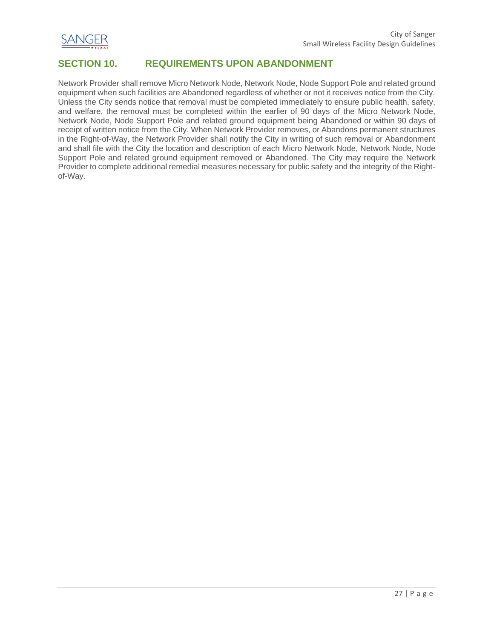

## <span id="page-27-0"></span>**SECTION 10. REQUIREMENTS UPON ABANDONMENT**

Network Provider shall remove Micro Network Node, Network Node, Node Support Pole and related ground equipment when such facilities are Abandoned regardless of whether or not it receives notice from the City. Unless the City sends notice that removal must be completed immediately to ensure public health, safety, and welfare, the removal must be completed within the earlier of 90 days of the Micro Network Node, Network Node, Node Support Pole and related ground equipment being Abandoned or within 90 days of receipt of written notice from the City. When Network Provider removes, or Abandons permanent structures in the Right-of-Way, the Network Provider shall notify the City in writing of such removal or Abandonment and shall file with the City the location and description of each Micro Network Node, Network Node, Node Support Pole and related ground equipment removed or Abandoned. The City may require the Network Provider to complete additional remedial measures necessary for public safety and the integrity of the Rightof-Way.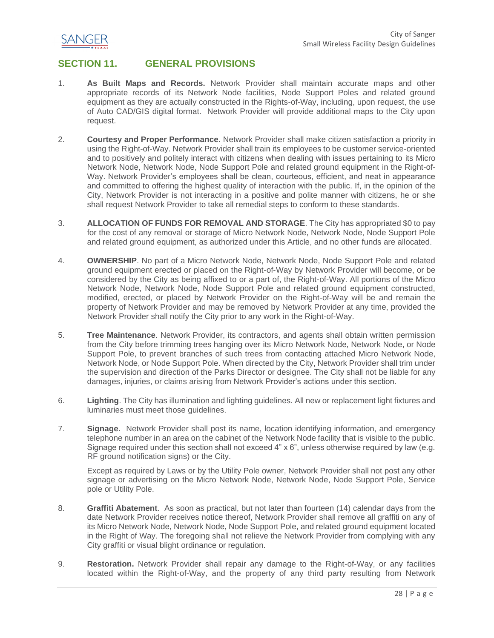

## <span id="page-28-0"></span>**SECTION 11. GENERAL PROVISIONS**

- 1. **As Built Maps and Records.** Network Provider shall maintain accurate maps and other appropriate records of its Network Node facilities, Node Support Poles and related ground equipment as they are actually constructed in the Rights-of-Way, including, upon request, the use of Auto CAD/GIS digital format. Network Provider will provide additional maps to the City upon request.
- 2. **Courtesy and Proper Performance.** Network Provider shall make citizen satisfaction a priority in using the Right-of-Way. Network Provider shall train its employees to be customer service-oriented and to positively and politely interact with citizens when dealing with issues pertaining to its Micro Network Node, Network Node, Node Support Pole and related ground equipment in the Right-of-Way. Network Provider's employees shall be clean, courteous, efficient, and neat in appearance and committed to offering the highest quality of interaction with the public. If, in the opinion of the City, Network Provider is not interacting in a positive and polite manner with citizens, he or she shall request Network Provider to take all remedial steps to conform to these standards.
- 3. **ALLOCATION OF FUNDS FOR REMOVAL AND STORAGE**. The City has appropriated \$0 to pay for the cost of any removal or storage of Micro Network Node, Network Node, Node Support Pole and related ground equipment, as authorized under this Article, and no other funds are allocated.
- 4. **OWNERSHIP**. No part of a Micro Network Node, Network Node, Node Support Pole and related ground equipment erected or placed on the Right-of-Way by Network Provider will become, or be considered by the City as being affixed to or a part of, the Right-of-Way. All portions of the Micro Network Node, Network Node, Node Support Pole and related ground equipment constructed, modified, erected, or placed by Network Provider on the Right-of-Way will be and remain the property of Network Provider and may be removed by Network Provider at any time, provided the Network Provider shall notify the City prior to any work in the Right-of-Way.
- 5. **Tree Maintenance**. Network Provider, its contractors, and agents shall obtain written permission from the City before trimming trees hanging over its Micro Network Node, Network Node, or Node Support Pole, to prevent branches of such trees from contacting attached Micro Network Node, Network Node, or Node Support Pole. When directed by the City, Network Provider shall trim under the supervision and direction of the Parks Director or designee. The City shall not be liable for any damages, injuries, or claims arising from Network Provider's actions under this section.
- 6. **Lighting**. The City has illumination and lighting guidelines. All new or replacement light fixtures and luminaries must meet those guidelines.
- 7. **Signage.** Network Provider shall post its name, location identifying information, and emergency telephone number in an area on the cabinet of the Network Node facility that is visible to the public. Signage required under this section shall not exceed 4" x 6", unless otherwise required by law (e.g. RF ground notification signs) or the City.

Except as required by Laws or by the Utility Pole owner, Network Provider shall not post any other signage or advertising on the Micro Network Node, Network Node, Node Support Pole, Service pole or Utility Pole.

- 8. **Graffiti Abatement**. As soon as practical, but not later than fourteen (14) calendar days from the date Network Provider receives notice thereof, Network Provider shall remove all graffiti on any of its Micro Network Node, Network Node, Node Support Pole, and related ground equipment located in the Right of Way. The foregoing shall not relieve the Network Provider from complying with any City graffiti or visual blight ordinance or regulation.
- 9. **Restoration.** Network Provider shall repair any damage to the Right-of-Way, or any facilities located within the Right-of-Way, and the property of any third party resulting from Network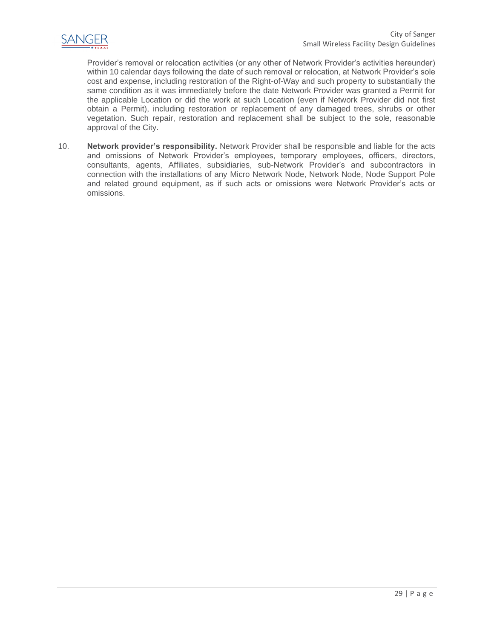

Provider's removal or relocation activities (or any other of Network Provider's activities hereunder) within 10 calendar days following the date of such removal or relocation, at Network Provider's sole cost and expense, including restoration of the Right-of-Way and such property to substantially the same condition as it was immediately before the date Network Provider was granted a Permit for the applicable Location or did the work at such Location (even if Network Provider did not first obtain a Permit), including restoration or replacement of any damaged trees, shrubs or other vegetation. Such repair, restoration and replacement shall be subject to the sole, reasonable approval of the City.

10. **Network provider's responsibility.** Network Provider shall be responsible and liable for the acts and omissions of Network Provider's employees, temporary employees, officers, directors, consultants, agents, Affiliates, subsidiaries, sub-Network Provider's and subcontractors in connection with the installations of any Micro Network Node, Network Node, Node Support Pole and related ground equipment, as if such acts or omissions were Network Provider's acts or omissions.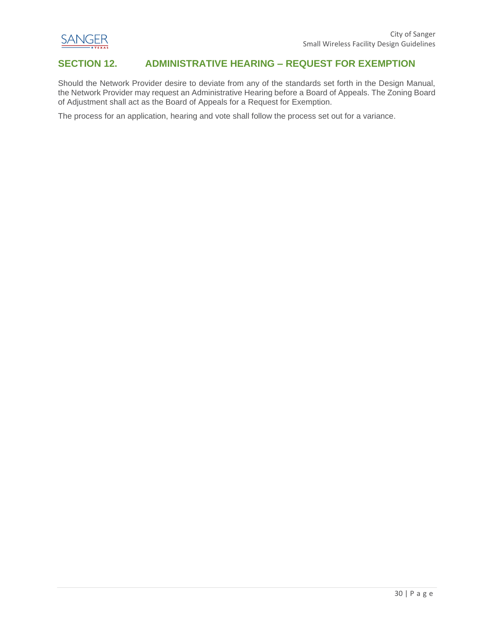

### <span id="page-30-0"></span>**SECTION 12. ADMINISTRATIVE HEARING – REQUEST FOR EXEMPTION**

Should the Network Provider desire to deviate from any of the standards set forth in the Design Manual, the Network Provider may request an Administrative Hearing before a Board of Appeals. The Zoning Board of Adjustment shall act as the Board of Appeals for a Request for Exemption.

The process for an application, hearing and vote shall follow the process set out for a variance.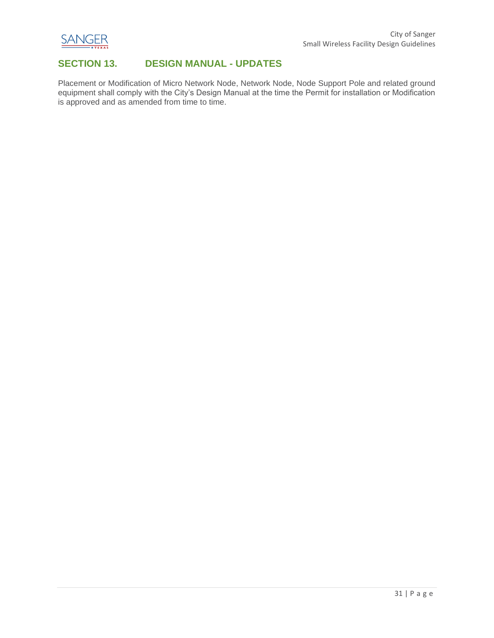

## <span id="page-31-0"></span>**SECTION 13. DESIGN MANUAL - UPDATES**

Placement or Modification of Micro Network Node, Network Node, Node Support Pole and related ground equipment shall comply with the City's Design Manual at the time the Permit for installation or Modification is approved and as amended from time to time.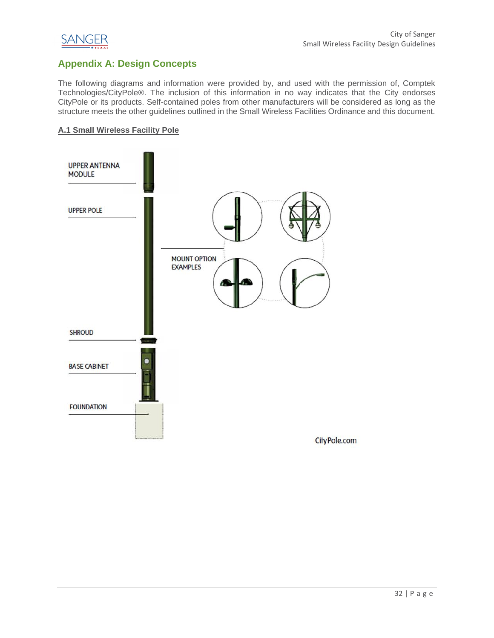

## <span id="page-32-0"></span>**Appendix A: Design Concepts**

The following diagrams and information were provided by, and used with the permission of, Comptek Technologies/CityPole®. The inclusion of this information in no way indicates that the City endorses CityPole or its products. Self-contained poles from other manufacturers will be considered as long as the structure meets the other guidelines outlined in the Small Wireless Facilities Ordinance and this document.

#### <span id="page-32-1"></span>**A.1 Small Wireless Facility Pole**

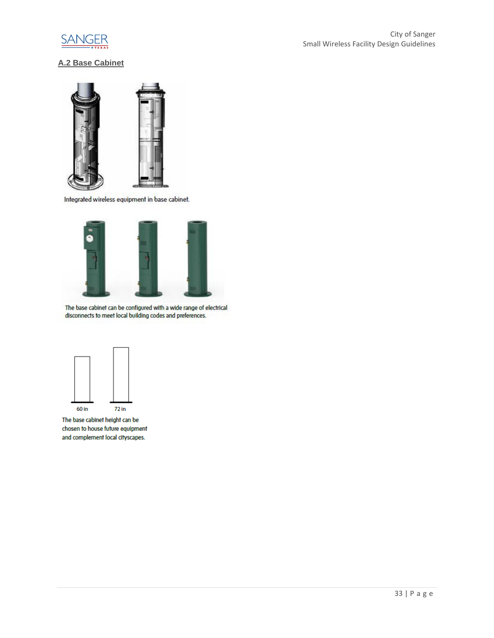

## <span id="page-33-0"></span>**A.2 Base Cabinet**



Integrated wireless equipment in base cabinet.



The base cabinet can be configured with a wide range of electrical disconnects to meet local building codes and preferences.



The base cabinet height can be chosen to house future equipment and complement local cityscapes.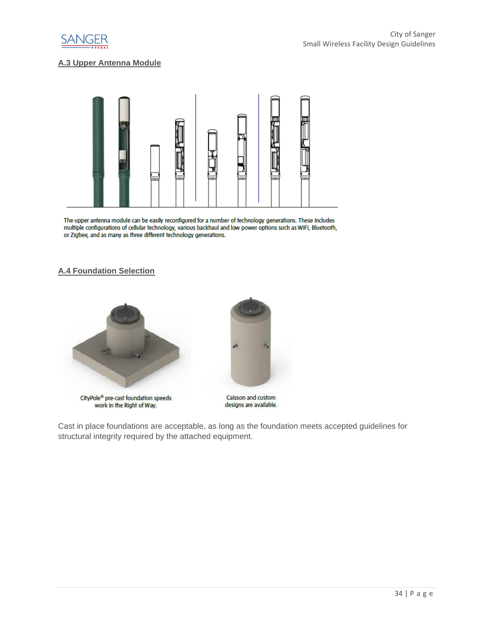

#### <span id="page-34-0"></span>**A.3 Upper Antenna Module**



The upper antenna module can be easily reconfigured for a number of technology generations. These includes multiple configurations of cellular technology, various backhaul and low power options such as WiFi, Bluetooth, or Zigbee, and as many as three different technology generations.

#### <span id="page-34-1"></span>**A.4 Foundation Selection**



CityPole® pre-cast foundation speeds work in the Right of Way.



Caisson and custom designs are available.

Cast in place foundations are acceptable, as long as the foundation meets accepted guidelines for structural integrity required by the attached equipment.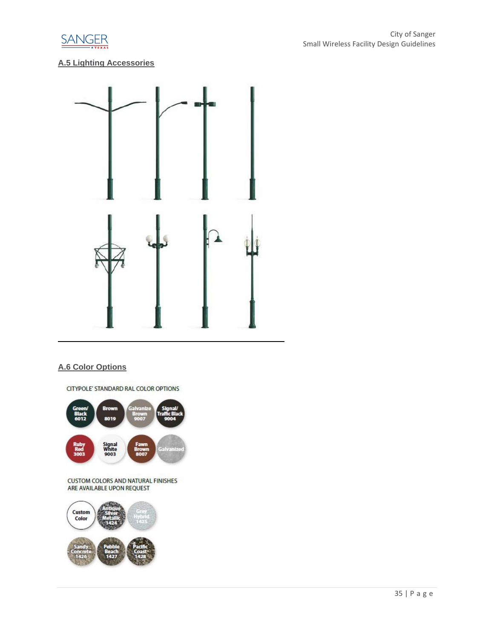

## <span id="page-35-0"></span>**A.5 Lighting Accessories**



#### <span id="page-35-1"></span>**A.6 Color Options**

CITYPOLE' STANDARD RAL COLOR OPTIONS



CUSTOM COLORS AND NATURAL FINISHES<br>ARE AVAILABLE UPON REQUEST